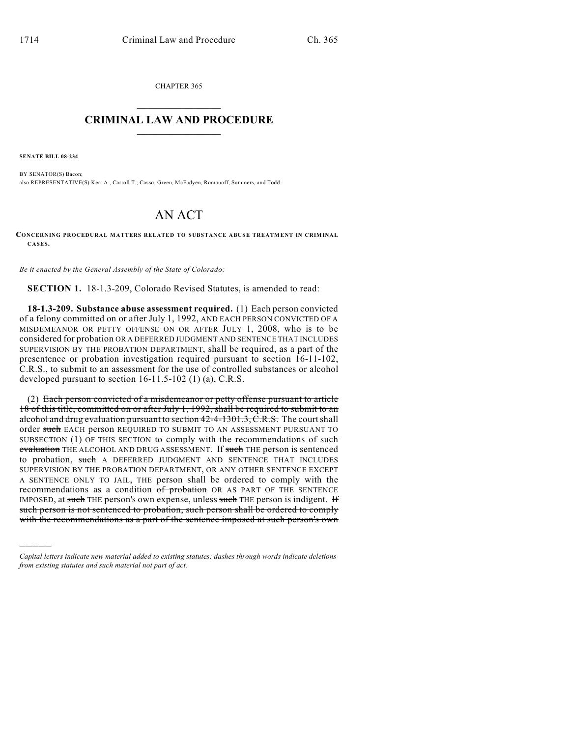CHAPTER 365  $\overline{\phantom{a}}$  . The set of the set of the set of the set of the set of the set of the set of the set of the set of the set of the set of the set of the set of the set of the set of the set of the set of the set of the set o

## **CRIMINAL LAW AND PROCEDURE**  $\frac{1}{2}$  ,  $\frac{1}{2}$  ,  $\frac{1}{2}$  ,  $\frac{1}{2}$  ,  $\frac{1}{2}$  ,  $\frac{1}{2}$  ,  $\frac{1}{2}$

**SENATE BILL 08-234**

)))))

BY SENATOR(S) Bacon; also REPRESENTATIVE(S) Kerr A., Carroll T., Casso, Green, McFadyen, Romanoff, Summers, and Todd.

## AN ACT

## **CONCERNING PROCEDURAL MATTERS RELATED TO SUBSTANCE ABUSE TREATMENT IN CRIMINAL CASES.**

*Be it enacted by the General Assembly of the State of Colorado:*

**SECTION 1.** 18-1.3-209, Colorado Revised Statutes, is amended to read:

**18-1.3-209. Substance abuse assessment required.** (1) Each person convicted of a felony committed on or after July 1, 1992, AND EACH PERSON CONVICTED OF A MISDEMEANOR OR PETTY OFFENSE ON OR AFTER JULY 1, 2008, who is to be considered for probation OR A DEFERRED JUDGMENT AND SENTENCE THAT INCLUDES SUPERVISION BY THE PROBATION DEPARTMENT, shall be required, as a part of the presentence or probation investigation required pursuant to section 16-11-102, C.R.S., to submit to an assessment for the use of controlled substances or alcohol developed pursuant to section 16-11.5-102 (1) (a), C.R.S.

(2) Each person convicted of a misdemeanor or petty offense pursuant to article 18 of this title, committed on or after July 1, 1992, shall be required to submit to an alcohol and drug evaluation pursuant to section  $42-4-1301.3$ , C.R.S. The court shall order such EACH person REQUIRED TO SUBMIT TO AN ASSESSMENT PURSUANT TO SUBSECTION (1) OF THIS SECTION to comply with the recommendations of such evaluation THE ALCOHOL AND DRUG ASSESSMENT. If such THE person is sentenced to probation, such A DEFERRED JUDGMENT AND SENTENCE THAT INCLUDES SUPERVISION BY THE PROBATION DEPARTMENT, OR ANY OTHER SENTENCE EXCEPT A SENTENCE ONLY TO JAIL, THE person shall be ordered to comply with the recommendations as a condition of probation OR AS PART OF THE SENTENCE IMPOSED, at such THE person's own expense, unless such THE person is indigent. H such person is not sentenced to probation, such person shall be ordered to comply with the recommendations as a part of the sentence imposed at such person's own

*Capital letters indicate new material added to existing statutes; dashes through words indicate deletions from existing statutes and such material not part of act.*